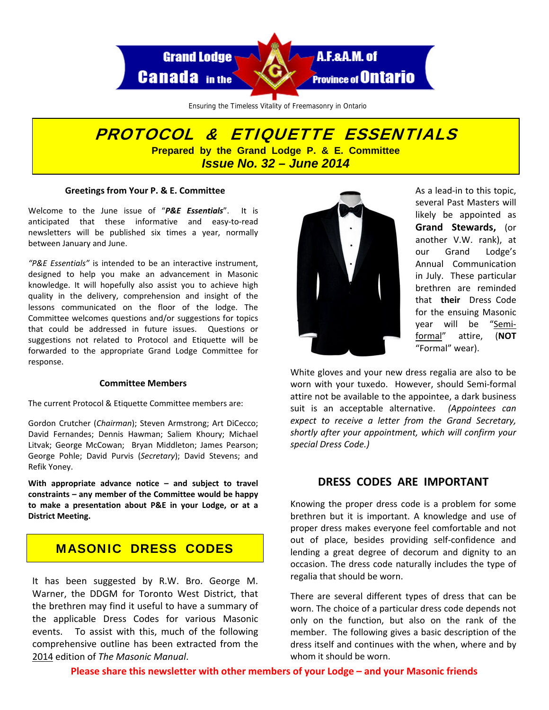

Ensuring the Timeless Vitality of Freemasonry in Ontario

# PROTOCOL & ETIQUETTE ESSENTIALS **Prepared by the Grand Lodge P. & E. Committee**  *Issue No. 32 – June 2014*

#### **Greetings from Your P. & E. Committee**

Welcome to the June issue of "*P&E Essentials*". It is anticipated that these informative and easy‐to‐read newsletters will be published six times a year, normally between January and June.

*"P&E Essentials"* is intended to be an interactive instrument, designed to help you make an advancement in Masonic knowledge. It will hopefully also assist you to achieve high quality in the delivery, comprehension and insight of the lessons communicated on the floor of the lodge. The Committee welcomes questions and/or suggestions for topics that could be addressed in future issues. Questions or suggestions not related to Protocol and Etiquette will be forwarded to the appropriate Grand Lodge Committee for response.

#### **Committee Members**

The current Protocol & Etiquette Committee members are:

Gordon Crutcher (*Chairman*); Steven Armstrong; Art DiCecco; David Fernandes; Dennis Hawman; Saliem Khoury; Michael Litvak; George McCowan; Bryan Middleton; James Pearson; George Pohle; David Purvis (*Secretary*); David Stevens; and Refik Yoney.

**With appropriate advance notice – and subject to travel constraints – any member of the Committee would be happy to make a presentation about P&E in your Lodge, or at a District Meeting.**

# MASONIC DRESS CODES

It has been suggested by R.W. Bro. George M. Warner, the DDGM for Toronto West District, that the brethren may find it useful to have a summary of the applicable Dress Codes for various Masonic events. To assist with this, much of the following comprehensive outline has been extracted from the 2014 edition of *The Masonic Manual*.



As a lead‐in to this topic, several Past Masters will likely be appointed as **Grand Stewards,** (or another V.W. rank), at our Grand Lodge's Annual Communication in July. These particular brethren are reminded that **their**  Dress Code for the ensuing Masonic year will be "Semi‐ formal" attire, (**NOT** "Formal" wear).

White gloves and your new dress regalia are also to be worn with your tuxedo. However, should Semi-formal attire not be available to the appointee, a dark business suit is an acceptable alternative. *(Appointees can expect to receive a letter from the Grand Secretary, shortly after your appointment, which will confirm your special Dress Code.)*

# **DRESS CODES ARE IMPORTANT**

Knowing the proper dress code is a problem for some brethren but it is important. A knowledge and use of proper dress makes everyone feel comfortable and not out of place, besides providing self‐confidence and lending a great degree of decorum and dignity to an occasion. The dress code naturally includes the type of regalia that should be worn.

There are several different types of dress that can be worn. The choice of a particular dress code depends not only on the function, but also on the rank of the member. The following gives a basic description of the dress itself and continues with the when, where and by whom it should be worn.

**Please share this newsletter with other members of your Lodge – and your Masonic friends**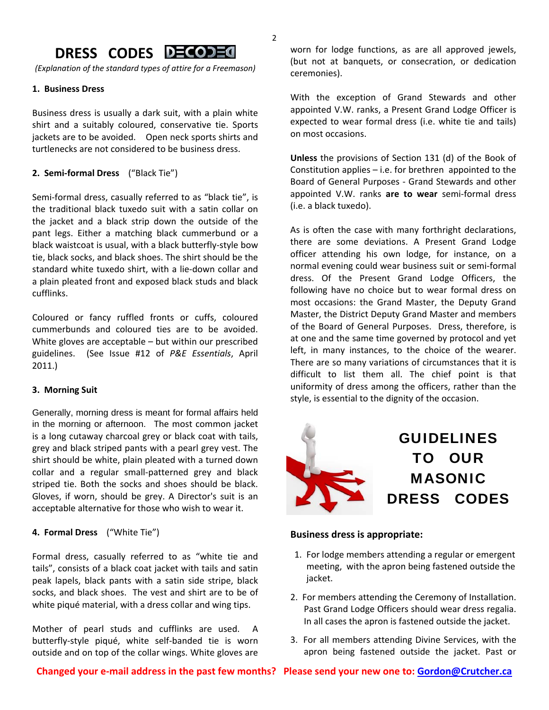# **DRESS CODES**

*(Explanation of the standard types of attire for a Freemason)*

#### **1. Business Dress**

Business dress is usually a dark suit, with a plain white shirt and a suitably coloured, conservative tie. Sports jackets are to be avoided. Open neck sports shirts and turtlenecks are not considered to be business dress.

#### **2. Semi‐formal Dress** ("Black Tie")

Semi-formal dress, casually referred to as "black tie", is the traditional black tuxedo suit with a satin collar on the jacket and a black strip down the outside of the pant legs. Either a matching black cummerbund or a black waistcoat is usual, with a black butterfly‐style bow tie, black socks, and black shoes. The shirt should be the standard white tuxedo shirt, with a lie‐down collar and a plain pleated front and exposed black studs and black cufflinks.

Coloured or fancy ruffled fronts or cuffs, coloured cummerbunds and coloured ties are to be avoided. White gloves are acceptable – but within our prescribed guidelines. (See Issue #12 of *P&E Essentials*, April 2011.)

#### **3. Morning Suit**

Generally, morning dress is meant for formal affairs held in the morning or afternoon. The most common jacket is a long cutaway charcoal grey or black coat with tails, grey and black striped pants with a pearl grey vest. The shirt should be white, plain pleated with a turned down collar and a regular small-patterned grey and black striped tie. Both the socks and shoes should be black. Gloves, if worn, should be grey. A Director's suit is an acceptable alternative for those who wish to wear it.

## **4. Formal Dress** ("White Tie")

Formal dress, casually referred to as "white tie and tails", consists of a black coat jacket with tails and satin peak lapels, black pants with a satin side stripe, black socks, and black shoes. The vest and shirt are to be of white piqué material, with a dress collar and wing tips.

Mother of pearl studs and cufflinks are used. butterfly‐style piqué, white self‐banded tie is worn outside and on top of the collar wings. White gloves are

worn for lodge functions, as are all approved jewels, (but not at banquets, or consecration, or dedication ceremonies).

With the exception of Grand Stewards and other appointed V.W. ranks, a Present Grand Lodge Officer is expected to wear formal dress (i.e. white tie and tails) on most occasions.

**Unless** the provisions of Section 131 (d) of the Book of Constitution applies – i.e. for brethren appointed to the Board of General Purposes ‐ Grand Stewards and other appointed V.W. ranks **are to wear** semi‐formal dress (i.e. a black tuxedo).

As is often the case with many forthright declarations, there are some deviations. A Present Grand Lodge officer attending his own lodge, for instance, on a normal evening could wear business suit or semi‐formal dress. Of the Present Grand Lodge Officers, the following have no choice but to wear formal dress on most occasions: the Grand Master, the Deputy Grand Master, the District Deputy Grand Master and members of the Board of General Purposes. Dress, therefore, is at one and the same time governed by protocol and yet left, in many instances, to the choice of the wearer. There are so many variations of circumstances that it is difficult to list them all. The chief point is that uniformity of dress among the officers, rather than the style, is essential to the dignity of the occasion.



GUIDELINES TO OUR MASONIC DRESS CODES

#### **Business dress is appropriate:**

- 1. For lodge members attending a regular or emergent meeting, with the apron being fastened outside the jacket.
- 2. For members attending the Ceremony of Installation. Past Grand Lodge Officers should wear dress regalia. In all cases the apron is fastened outside the jacket.
- 3. For all members attending Divine Services, with the apron being fastened outside the jacket. Past or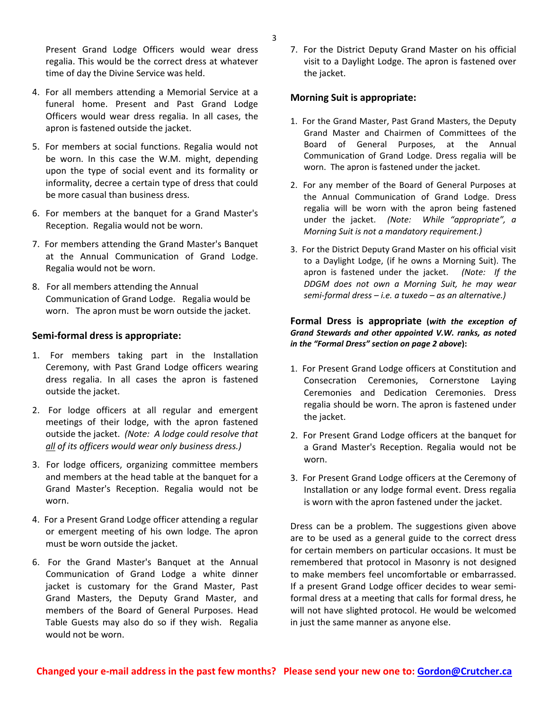Present Grand Lodge Officers would wear dress regalia. This would be the correct dress at whatever time of day the Divine Service was held.

- 4. For all members attending a Memorial Service at a funeral home. Present and Past Grand Lodge Officers would wear dress regalia. In all cases, the apron is fastened outside the jacket.
- 5. For members at social functions. Regalia would not be worn. In this case the W.M. might, depending upon the type of social event and its formality or informality, decree a certain type of dress that could be more casual than business dress.
- 6. For members at the banquet for a Grand Master's Reception. Regalia would not be worn.
- 7. For members attending the Grand Master's Banquet at the Annual Communication of Grand Lodge. Regalia would not be worn.
- 8. For all members attending the Annual Communication of Grand Lodge. Regalia would be worn. The apron must be worn outside the jacket.

#### **Semi‐formal dress is appropriate:**

- 1. For members taking part in the Installation Ceremony, with Past Grand Lodge officers wearing dress regalia. In all cases the apron is fastened outside the jacket.
- 2. For lodge officers at all regular and emergent meetings of their lodge, with the apron fastened outside the jacket. *(Note: A lodge could resolve that all of its officers would wear only business dress.)*
- 3. For lodge officers, organizing committee members and members at the head table at the banquet for a Grand Master's Reception. Regalia would not be worn.
- 4. For a Present Grand Lodge officer attending a regular or emergent meeting of his own lodge. The apron must be worn outside the jacket.
- 6. For the Grand Master's Banquet at the Annual Communication of Grand Lodge a white dinner jacket is customary for the Grand Master, Past Grand Masters, the Deputy Grand Master, and members of the Board of General Purposes. Head Table Guests may also do so if they wish. Regalia would not be worn.

7. For the District Deputy Grand Master on his official visit to a Daylight Lodge. The apron is fastened over the jacket.

#### **Morning Suit is appropriate:**

- 1. For the Grand Master, Past Grand Masters, the Deputy Grand Master and Chairmen of Committees of the Board of General Purposes, at the Annual Communication of Grand Lodge. Dress regalia will be worn. The apron is fastened under the jacket.
- 2. For any member of the Board of General Purposes at the Annual Communication of Grand Lodge. Dress regalia will be worn with the apron being fastened under the jacket. *(Note: While "appropriate", a Morning Suit is not a mandatory requirement.)*
- 3. For the District Deputy Grand Master on his official visit to a Daylight Lodge, (if he owns a Morning Suit). The apron is fastened under the jacket. (Note: If the *DDGM does not own a Morning Suit, he may wear semi‐formal dress – i.e. a tuxedo – as an alternative.)*

## **Formal Dress is appropriate (***with the exception of Grand Stewards and other appointed V.W. ranks, as noted in the "Formal Dress" section on page 2 above***):**

- 1. For Present Grand Lodge officers at Constitution and Consecration Ceremonies, Cornerstone Laying Ceremonies and Dedication Ceremonies. Dress regalia should be worn. The apron is fastened under the jacket.
- 2. For Present Grand Lodge officers at the banquet for a Grand Master's Reception. Regalia would not be worn.
- 3. For Present Grand Lodge officers at the Ceremony of Installation or any lodge formal event. Dress regalia is worn with the apron fastened under the jacket.

Dress can be a problem. The suggestions given above are to be used as a general guide to the correct dress for certain members on particular occasions. It must be remembered that protocol in Masonry is not designed to make members feel uncomfortable or embarrassed. If a present Grand Lodge officer decides to wear semi‐ formal dress at a meeting that calls for formal dress, he will not have slighted protocol. He would be welcomed in just the same manner as anyone else.